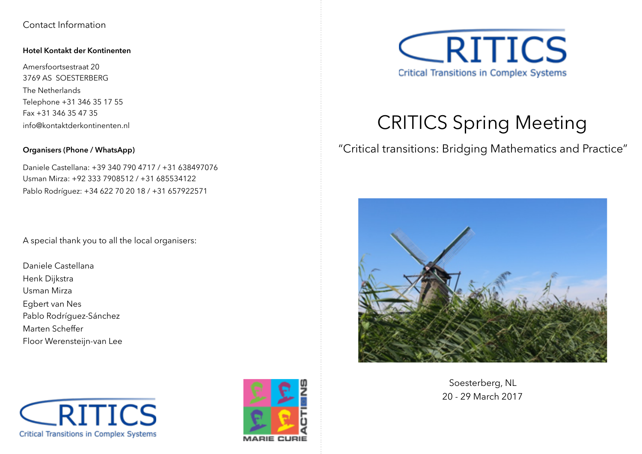## Contact Information

#### **Hotel Kontakt der Kontinenten**

Amersfoortsestraat 20 3769 AS SOESTERBERG The Netherlands Telephone +31 346 35 17 55 Fax +31 346 35 47 35 info@kontaktderkontinenten.nl

### **Organisers (Phone / WhatsApp)**

Daniele Castellana: +39 340 790 4717 / +31 638497076 Usman Mirza: +92 333 7908512 / +31 685534122 Pablo Rodríguez: +34 622 70 20 18 / +31 657922571

A special thank you to all the local organisers:

Daniele Castellana Henk Dijkstra Usman Mirza Egbert van Nes Pablo Rodríguez-Sánchez Marten Scheffer Floor Werensteijn-van Lee







# CRITICS Spring Meeting

"Critical transitions: Bridging Mathematics and Practice"



Soesterberg, NL 20 - 29 March 2017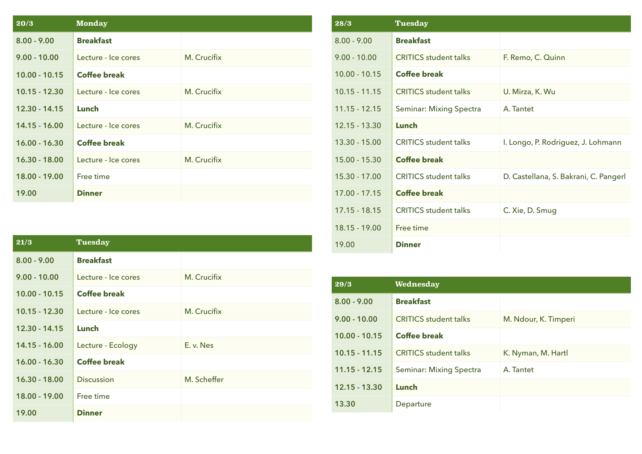| 20/3            | <b>Monday</b>       |             |
|-----------------|---------------------|-------------|
| $8.00 - 9.00$   | <b>Breakfast</b>    |             |
| $9.00 - 10.00$  | Lecture - Ice cores | M. Crucifix |
| $10.00 - 10.15$ | <b>Coffee break</b> |             |
| $10.15 - 12.30$ | Lecture - Ice cores | M. Crucifix |
| $12.30 - 14.15$ | Lunch               |             |
| $14.15 - 16.00$ | Lecture - Ice cores | M. Crucifix |
| $16.00 - 16.30$ | <b>Coffee break</b> |             |
| $16.30 - 18.00$ | Lecture - Ice cores | M. Crucifix |
| 18.00 - 19.00   | Free time           |             |
| 19.00           | <b>Dinner</b>       |             |

| 28/3            | <b>Tuesday</b>                 |                                       |
|-----------------|--------------------------------|---------------------------------------|
| $8.00 - 9.00$   | <b>Breakfast</b>               |                                       |
| $9.00 - 10.00$  | <b>CRITICS</b> student talks   | F. Remo, C. Quinn                     |
| $10.00 - 10.15$ | <b>Coffee break</b>            |                                       |
| $10.15 - 11.15$ | <b>CRITICS student talks</b>   | U. Mirza, K. Wu                       |
| $11.15 - 12.15$ | <b>Seminar: Mixing Spectra</b> | A. Tantet                             |
| $12.15 - 13.30$ | Lunch                          |                                       |
| 13.30 - 15.00   | <b>CRITICS student talks</b>   | I. Longo, P. Rodriguez, J. Lohmann    |
| $15.00 - 15.30$ | <b>Coffee break</b>            |                                       |
| 15.30 - 17.00   | <b>CRITICS student talks</b>   | D. Castellana, S. Bakrani, C. Pangerl |
| $17.00 - 17.15$ | <b>Coffee break</b>            |                                       |
| $17.15 - 18.15$ | <b>CRITICS</b> student talks   | C. Xie, D. Smug                       |
| $18.15 - 19.00$ | Free time                      |                                       |
| 19.00           | <b>Dinner</b>                  |                                       |

| 29/3            | Wednesday                      |                      |
|-----------------|--------------------------------|----------------------|
| $8.00 - 9.00$   | <b>Breakfast</b>               |                      |
| $9.00 - 10.00$  | <b>CRITICS</b> student talks   | M. Ndour, K. Timperi |
| $10.00 - 10.15$ | <b>Coffee break</b>            |                      |
| $10.15 - 11.15$ | <b>CRITICS</b> student talks   | K. Nyman, M. Hartl   |
| $11.15 - 12.15$ | <b>Seminar: Mixing Spectra</b> | A. Tantet            |
| $12.15 - 13.30$ | Lunch                          |                      |
| 13.30           | Departure                      |                      |

| 21/3            | Tuesday             |             |
|-----------------|---------------------|-------------|
| $8.00 - 9.00$   | <b>Breakfast</b>    |             |
| $9.00 - 10.00$  | Lecture - Ice cores | M. Crucifix |
| $10.00 - 10.15$ | <b>Coffee break</b> |             |
| $10.15 - 12.30$ | Lecture - Ice cores | M. Crucifix |
| $12.30 - 14.15$ | Lunch               |             |
| 14.15 - 16.00   | Lecture - Ecology   | E. v. Nes   |
| $16.00 - 16.30$ | <b>Coffee break</b> |             |
| 16.30 - 18.00   | <b>Discussion</b>   | M. Scheffer |
| 18.00 - 19.00   | Free time           |             |
| 19.00           | <b>Dinner</b>       |             |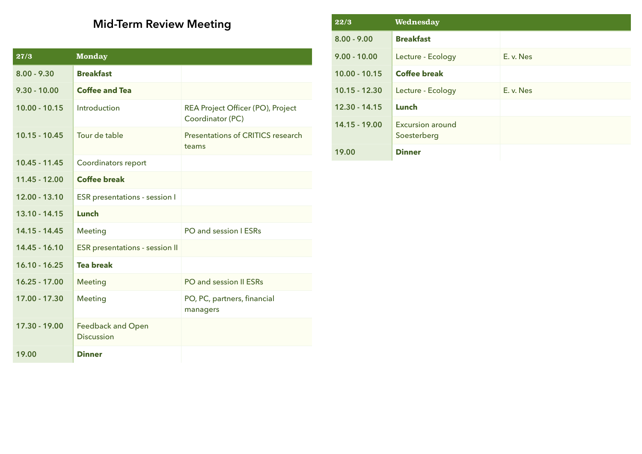## **Mid-Term Review Meeting**

| 27/3            | <b>Monday</b>                                 |                                                       |
|-----------------|-----------------------------------------------|-------------------------------------------------------|
| $8.00 - 9.30$   | <b>Breakfast</b>                              |                                                       |
| $9.30 - 10.00$  | <b>Coffee and Tea</b>                         |                                                       |
| $10.00 - 10.15$ | Introduction                                  | REA Project Officer (PO), Project<br>Coordinator (PC) |
| $10.15 - 10.45$ | Tour de table                                 | Presentations of CRITICS research<br>teams            |
| $10.45 - 11.45$ | Coordinators report                           |                                                       |
| 11.45 - 12.00   | <b>Coffee break</b>                           |                                                       |
| 12.00 - 13.10   | <b>ESR</b> presentations - session I          |                                                       |
| 13.10 - 14.15   | Lunch                                         |                                                       |
| 14.15 - 14.45   | <b>Meeting</b>                                | PO and session I ESRs                                 |
| 14.45 - 16.10   | <b>ESR</b> presentations - session II         |                                                       |
| $16.10 - 16.25$ | <b>Tea break</b>                              |                                                       |
| $16.25 - 17.00$ | <b>Meeting</b>                                | PO and session II ESRs                                |
| 17.00 - 17.30   | <b>Meeting</b>                                | PO, PC, partners, financial<br>managers               |
| 17.30 - 19.00   | <b>Feedback and Open</b><br><b>Discussion</b> |                                                       |
| 19.00           | <b>Dinner</b>                                 |                                                       |

| 22/3            | Wednesday                              |           |
|-----------------|----------------------------------------|-----------|
| $8.00 - 9.00$   | <b>Breakfast</b>                       |           |
| $9.00 - 10.00$  | Lecture - Ecology                      | E. v. Nes |
| $10.00 - 10.15$ | <b>Coffee break</b>                    |           |
| $10.15 - 12.30$ | Lecture - Ecology                      | E. v. Nes |
| $12.30 - 14.15$ | Lunch                                  |           |
| 14.15 - 19.00   | <b>Excursion around</b><br>Soesterberg |           |
| 19.00           | <b>Dinner</b>                          |           |